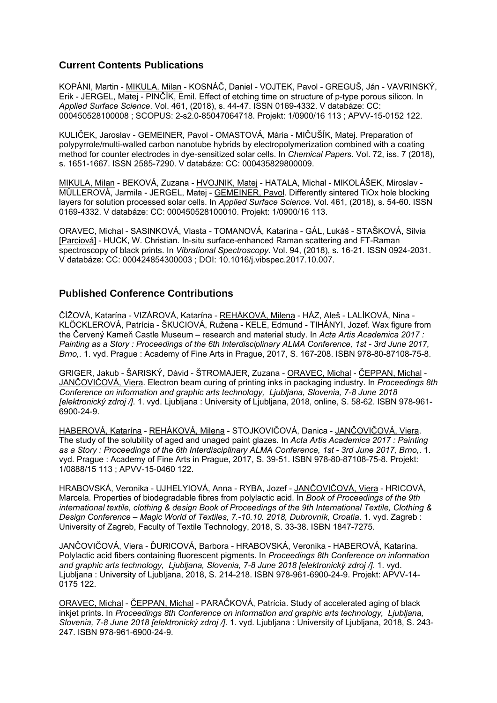## **Current Contents Publications**

KOPÁNI, Martin - MIKULA, Milan - KOSNÁČ, Daniel - VOJTEK, Pavol - GREGUŠ, Ján - VAVRINSKÝ, Erik - JERGEL, Matej - PINČÍK, Emil. Effect of etching time on structure of p-type porous silicon. In *Applied Surface Science*. Vol. 461, (2018), s. 44-47. ISSN 0169-4332. V databáze: CC: 000450528100008 ; SCOPUS: 2-s2.0-85047064718. Projekt: 1/0900/16 113 ; APVV-15-0152 122.

KULIČEK, Jaroslav - GEMEINER, Pavol - OMASTOVÁ, Mária - MIČUŠÍK, Matej. Preparation of polypyrrole/multi-walled carbon nanotube hybrids by electropolymerization combined with a coating method for counter electrodes in dye-sensitized solar cells. In *Chemical Papers*. Vol. 72, iss. 7 (2018), s. 1651-1667. ISSN 2585-7290. V databáze: CC: 000435829800009.

MIKULA, Milan - BEKOVÁ, Zuzana - HVOJNIK, Matej - HATALA, Michal - MIKOLÁŠEK, Miroslav - MÜLLEROVÁ, Jarmila - JERGEL, Matej - GEMEINER, Pavol. Differently sintered TiOx hole blocking layers for solution processed solar cells. In *Applied Surface Science*. Vol. 461, (2018), s. 54-60. ISSN 0169-4332. V databáze: CC: 000450528100010. Projekt: 1/0900/16 113.

ORAVEC, Michal - SASINKOVÁ, Vlasta - TOMANOVÁ, Katarína - GÁL, Lukáš - STAŠKOVÁ, Silvia [Parciová] - HUCK, W. Christian. In-situ surface-enhanced Raman scattering and FT-Raman spectroscopy of black prints. In *Vibrational Spectroscopy*. Vol. 94, (2018), s. 16-21. ISSN 0924-2031. V databáze: CC: 000424854300003 ; DOI: 10.1016/j.vibspec.2017.10.007.

## **Published Conference Contributions**

ČÍŽOVÁ, Katarína - VIZÁROVÁ, Katarína - REHÁKOVÁ, Milena - HÁZ, Aleš - LALÍKOVÁ, Nina - KLÖCKLEROVÁ, Patrícia - ŠKUCIOVÁ, Ružena - KELE, Edmund - TIHÁNYI, Jozef. Wax figure from the Červený Kameň Castle Museum – research and material study. In *Acta Artis Academica 2017 : Painting as a Story : Proceedings of the 6th Interdisciplinary ALMA Conference, 1st - 3rd June 2017, Brno,*. 1. vyd. Prague : Academy of Fine Arts in Prague, 2017, S. 167-208. ISBN 978-80-87108-75-8.

GRIGER, Jakub - ŠARISKÝ, Dávid - ŠTROMAJER, Zuzana - ORAVEC, Michal - ČEPPAN, Michal - JANČOVIČOVÁ, Viera. Electron beam curing of printing inks in packaging industry. In *Proceedings 8th Conference on information and graphic arts technology, Ljubljana, Slovenia, 7-8 June 2018 [elektronický zdroj /]*. 1. vyd. Ljubljana : University of Ljubljana, 2018, online, S. 58-62. ISBN 978-961- 6900-24-9.

HABEROVÁ, Katarína - REHÁKOVÁ, Milena - STOJKOVIČOVÁ, Danica - JANČOVIČOVÁ, Viera. The study of the solubility of aged and unaged paint glazes. In *Acta Artis Academica 2017 : Painting as a Story : Proceedings of the 6th Interdisciplinary ALMA Conference, 1st - 3rd June 2017, Brno,*. 1. vyd. Prague : Academy of Fine Arts in Prague, 2017, S. 39-51. ISBN 978-80-87108-75-8. Projekt: 1/0888/15 113 ; APVV-15-0460 122.

HRABOVSKÁ, Veronika - UJHELYIOVÁ, Anna - RYBA, Jozef - JANČOVIČOVÁ, Viera - HRICOVÁ, Marcela. Properties of biodegradable fibres from polylactic acid. In *Book of Proceedings of the 9th international textile, clothing & design Book of Proceedings of the 9th International Textile, Clothing & Design Conference – Magic World of Textiles, 7.-10.10. 2018, Dubrovník, Croatia*. 1. vyd. Zagreb : University of Zagreb, Faculty of Textile Technology, 2018, S. 33-38. ISBN 1847-7275.

JANČOVIČOVÁ, Viera - ĎURICOVÁ, Barbora - HRABOVSKÁ, Veronika - HABEROVÁ, Katarína. Polylactic acid fibers containing fluorescent pigments. In *Proceedings 8th Conference on information and graphic arts technology, Ljubljana, Slovenia, 7-8 June 2018 [elektronický zdroj /]*. 1. vyd. Ljubljana : University of Ljubljana, 2018, S. 214-218. ISBN 978-961-6900-24-9. Projekt: APVV-14- 0175 122.

ORAVEC, Michal - ČEPPAN, Michal - PARAČKOVÁ, Patrícia. Study of accelerated aging of black inkjet prints. In *Proceedings 8th Conference on information and graphic arts technology, Ljubljana, Slovenia, 7-8 June 2018 [elektronický zdroj /]*. 1. vyd. Ljubljana : University of Ljubljana, 2018, S. 243- 247. ISBN 978-961-6900-24-9.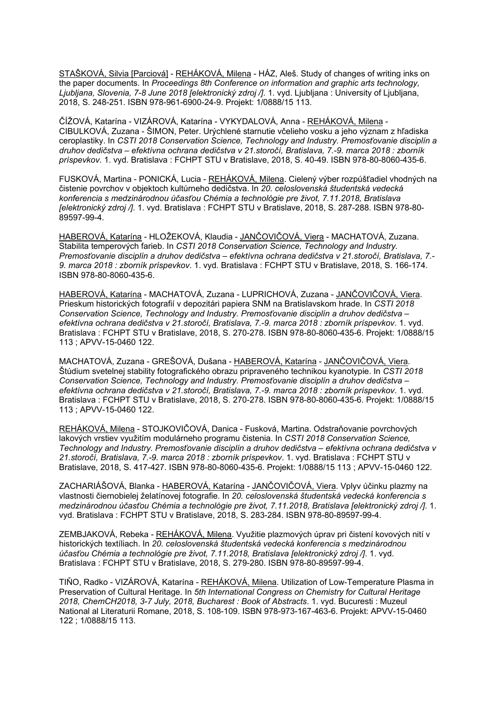STAŠKOVÁ, Silvia [Parciová] - REHÁKOVÁ, Milena - HÁZ, Aleš. Study of changes of writing inks on the paper documents. In *Proceedings 8th Conference on information and graphic arts technology, Ljubljana, Slovenia, 7-8 June 2018 [elektronický zdroj /]*. 1. vyd. Ljubljana : University of Ljubljana, 2018, S. 248-251. ISBN 978-961-6900-24-9. Projekt: 1/0888/15 113.

ČÍŽOVÁ, Katarína - VIZÁROVÁ, Katarína - VYKYDALOVÁ, Anna - REHÁKOVÁ, Milena - CIBULKOVÁ, Zuzana - ŠIMON, Peter. Urýchlené starnutie včelieho vosku a jeho význam z hľadiska ceroplastiky. In *CSTI 2018 Conservation Science, Technology and Industry. Premosťovanie disciplín a druhov dedičstva – efektívna ochrana dedičstva v 21.storočí, Bratislava, 7.-9. marca 2018 : zborník príspevkov*. 1. vyd. Bratislava : FCHPT STU v Bratislave, 2018, S. 40-49. ISBN 978-80-8060-435-6.

FUSKOVÁ, Martina - PONICKÁ, Lucia - REHÁKOVÁ, Milena. Cielený výber rozpúšťadiel vhodných na čistenie povrchov v objektoch kultúrneho dedičstva. In *20. celoslovenská študentská vedecká konferencia s medzinárodnou účasťou Chémia a technológie pre život, 7.11.2018, Bratislava [elektronický zdroj /]*. 1. vyd. Bratislava : FCHPT STU v Bratislave, 2018, S. 287-288. ISBN 978-80- 89597-99-4.

HABEROVÁ, Katarína - HLOŽEKOVÁ, Klaudia - JANČOVIČOVÁ, Viera - MACHATOVÁ, Zuzana. Stabilita temperových farieb. In *CSTI 2018 Conservation Science, Technology and Industry. Premosťovanie disciplín a druhov dedičstva – efektívna ochrana dedičstva v 21.storočí, Bratislava, 7.- 9. marca 2018 : zborník príspevkov*. 1. vyd. Bratislava : FCHPT STU v Bratislave, 2018, S. 166-174. ISBN 978-80-8060-435-6.

HABEROVÁ, Katarína - MACHATOVÁ, Zuzana - LUPRICHOVÁ, Zuzana - JANČOVIČOVÁ, Viera. Prieskum historických fotografií v depozitári papiera SNM na Bratislavskom hrade. In *CSTI 2018 Conservation Science, Technology and Industry. Premosťovanie disciplín a druhov dedičstva – efektívna ochrana dedičstva v 21.storočí, Bratislava, 7.-9. marca 2018 : zborník príspevkov*. 1. vyd. Bratislava : FCHPT STU v Bratislave, 2018, S. 270-278. ISBN 978-80-8060-435-6. Projekt: 1/0888/15 113 ; APVV-15-0460 122.

MACHATOVÁ, Zuzana - GREŠOVÁ, Dušana - HABEROVÁ, Katarína - JANČOVIČOVÁ, Viera. Štúdium svetelnej stability fotografického obrazu pripraveného technikou kyanotypie. In *CSTI 2018 Conservation Science, Technology and Industry. Premosťovanie disciplín a druhov dedičstva – efektívna ochrana dedičstva v 21.storočí, Bratislava, 7.-9. marca 2018 : zborník príspevkov*. 1. vyd. Bratislava : FCHPT STU v Bratislave, 2018, S. 270-278. ISBN 978-80-8060-435-6. Projekt: 1/0888/15 113 ; APVV-15-0460 122.

REHÁKOVÁ, Milena - STOJKOVIČOVÁ, Danica - Fusková, Martina. Odstraňovanie povrchových lakových vrstiev využitím modulárneho programu čistenia. In *CSTI 2018 Conservation Science, Technology and Industry. Premosťovanie disciplín a druhov dedičstva – efektívna ochrana dedičstva v 21.storočí, Bratislava, 7.-9. marca 2018 : zborník príspevkov*. 1. vyd. Bratislava : FCHPT STU v Bratislave, 2018, S. 417-427. ISBN 978-80-8060-435-6. Projekt: 1/0888/15 113 ; APVV-15-0460 122.

ZACHARIÁŠOVÁ, Blanka - HABEROVÁ, Katarína - JANČOVIČOVÁ, Viera. Vplyv účinku plazmy na vlastnosti čiernobielej želatínovej fotografie. In *20. celoslovenská študentská vedecká konferencia s medzinárodnou účasťou Chémia a technológie pre život, 7.11.2018, Bratislava [elektronický zdroj /]*. 1. vyd. Bratislava : FCHPT STU v Bratislave, 2018, S. 283-284. ISBN 978-80-89597-99-4.

ZEMBJAKOVÁ, Rebeka - REHÁKOVÁ, Milena. Využitie plazmových úprav pri čistení kovových nití v historických textíliach. In *20. celoslovenská študentská vedecká konferencia s medzinárodnou účasťou Chémia a technológie pre život, 7.11.2018, Bratislava [elektronický zdroj /]*. 1. vyd. Bratislava : FCHPT STU v Bratislave, 2018, S. 279-280. ISBN 978-80-89597-99-4.

TIŇO, Radko - VIZÁROVÁ, Katarína - REHÁKOVÁ, Milena. Utilization of Low-Temperature Plasma in Preservation of Cultural Heritage. In *5th International Congress on Chemistry for Cultural Heritage 2018, ChemCH2018, 3-7 July, 2018, Bucharest : Book of Abstracts*. 1. vyd. Bucuresti : Muzeul National al Literaturii Romane, 2018, S. 108-109. ISBN 978-973-167-463-6. Projekt: APVV-15-0460 122 ; 1/0888/15 113.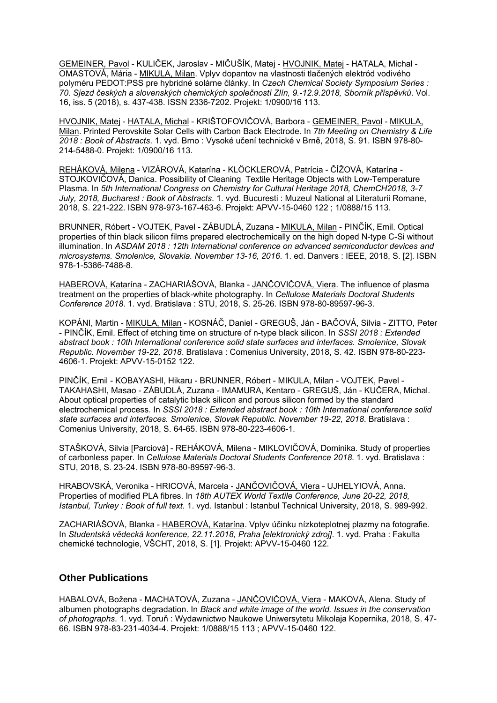GEMEINER, Pavol - KULIČEK, Jaroslav - MIČUŠÍK, Matej - HVOJNIK, Matej - HATALA, Michal - OMASTOVÁ, Mária - MIKULA, Milan. Vplyv dopantov na vlastnosti tlačených elektród vodivého polyméru PEDOT:PSS pre hybridné solárne články. In *Czech Chemical Society Symposium Series : 70. Sjezd českých a slovenských chemických společností Zlín, 9.-12.9.2018, Sborník příspěvků*. Vol. 16, iss. 5 (2018), s. 437-438. ISSN 2336-7202. Projekt: 1/0900/16 113.

HVOJNIK, Matej - HATALA, Michal - KRIŠTOFOVIČOVÁ, Barbora - GEMEINER, Pavol - MIKULA, Milan. Printed Perovskite Solar Cells with Carbon Back Electrode. In *7th Meeting on Chemistry & Life 2018 : Book of Abstracts*. 1. vyd. Brno : Vysoké učení technické v Brně, 2018, S. 91. ISBN 978-80- 214-5488-0. Projekt: 1/0900/16 113.

REHÁKOVÁ, Milena - VIZÁROVÁ, Katarína - KLÖCKLEROVÁ, Patrícia - ČÍŽOVÁ, Katarína - STOJKOVIČOVÁ, Danica. Possibility of Cleaning Textile Heritage Objects with Low-Temperature Plasma. In *5th International Congress on Chemistry for Cultural Heritage 2018, ChemCH2018, 3-7 July, 2018, Bucharest : Book of Abstracts*. 1. vyd. Bucuresti : Muzeul National al Literaturii Romane, 2018, S. 221-222. ISBN 978-973-167-463-6. Projekt: APVV-15-0460 122 ; 1/0888/15 113.

BRUNNER, Róbert - VOJTEK, Pavel - ZÁBUDLÁ, Zuzana - MIKULA, Milan - PINČÍK, Emil. Optical properties of thin black silicon films prepared electrochemically on the high doped N-type C-Si without illumination. In *ASDAM 2018 : 12th International conference on advanced semiconductor devices and microsystems. Smolenice, Slovakia. November 13-16, 2016*. 1. ed. Danvers : IEEE, 2018, S. [2]. ISBN 978-1-5386-7488-8.

HABEROVÁ, Katarína - ZACHARIÁŠOVÁ, Blanka - JANČOVIČOVÁ, Viera. The influence of plasma treatment on the properties of black-white photography. In *Cellulose Materials Doctoral Students Conference 2018*. 1. vyd. Bratislava : STU, 2018, S. 25-26. ISBN 978-80-89597-96-3.

KOPÁNI, Martin - MIKULA, Milan - KOSNÁČ, Daniel - GREGUŠ, Ján - BAČOVÁ, Silvia - ZITTO, Peter - PINČÍK, Emil. Effect of etching time on structure of n-type black silicon. In *SSSI 2018 : Extended abstract book : 10th International conference solid state surfaces and interfaces. Smolenice, Slovak Republic. November 19-22, 2018*. Bratislava : Comenius University, 2018, S. 42. ISBN 978-80-223- 4606-1. Projekt: APVV-15-0152 122.

PINČÍK, Emil - KOBAYASHI, Hikaru - BRUNNER, Róbert - MIKULA, Milan - VOJTEK, Pavel - TAKAHASHI, Masao - ZÁBUDLÁ, Zuzana - IMAMURA, Kentaro - GREGUŠ, Ján - KUČERA, Michal. About optical properties of catalytic black silicon and porous silicon formed by the standard electrochemical process. In *SSSI 2018 : Extended abstract book : 10th International conference solid state surfaces and interfaces. Smolenice, Slovak Republic. November 19-22, 2018*. Bratislava : Comenius University, 2018, S. 64-65. ISBN 978-80-223-4606-1.

STAŠKOVÁ, Silvia [Parciová] - REHÁKOVÁ, Milena - MIKLOVIČOVÁ, Dominika. Study of properties of carbonless paper. In *Cellulose Materials Doctoral Students Conference 2018*. 1. vyd. Bratislava : STU, 2018, S. 23-24. ISBN 978-80-89597-96-3.

HRABOVSKÁ, Veronika - HRICOVÁ, Marcela - JANČOVIČOVÁ, Viera - UJHELYIOVÁ, Anna. Properties of modified PLA fibres. In *18th AUTEX World Textile Conference, June 20-22, 2018, Istanbul, Turkey : Book of full text*. 1. vyd. Istanbul : Istanbul Technical University, 2018, S. 989-992.

ZACHARIÁŠOVÁ, Blanka - HABEROVÁ, Katarína. Vplyv účinku nízkoteplotnej plazmy na fotografie. In *Studentská vědecká konference, 22.11.2018, Praha [elektronický zdroj]*. 1. vyd. Praha : Fakulta chemické technologie, VŠCHT, 2018, S. [1]. Projekt: APVV-15-0460 122.

## **Other Publications**

HABALOVÁ, Božena - MACHATOVÁ, Zuzana - JANČOVIČOVÁ, Viera - MAKOVÁ, Alena. Study of albumen photographs degradation. In *Black and white image of the world. Issues in the conservation of photographs*. 1. vyd. Toruň : Wydawnictwo Naukowe Uniwersytetu Mikolaja Kopernika, 2018, S. 47- 66. ISBN 978-83-231-4034-4. Projekt: 1/0888/15 113 ; APVV-15-0460 122.